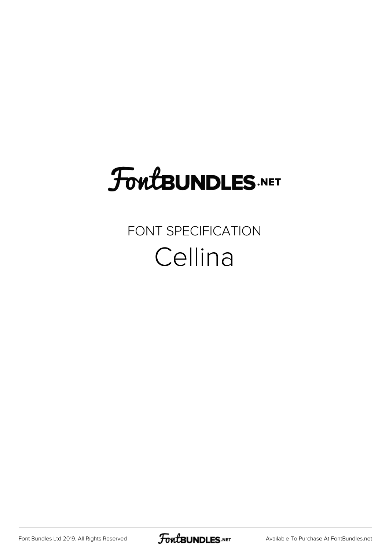## **FoutBUNDLES.NET**

## FONT SPECIFICATION Cellina

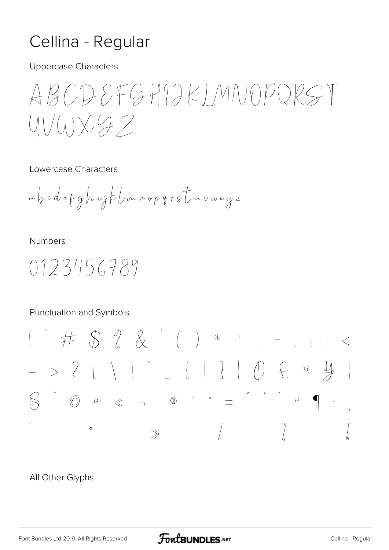## Cellina - Regular

**Uppercase Characters** 

ABODEFGHIJKIMNOPQRST  $UV(u)\times 97$ 

Lowercase Characters

**Numbers** 

0123456789

**Punctuation and Symbols** 



## All Other Glyphs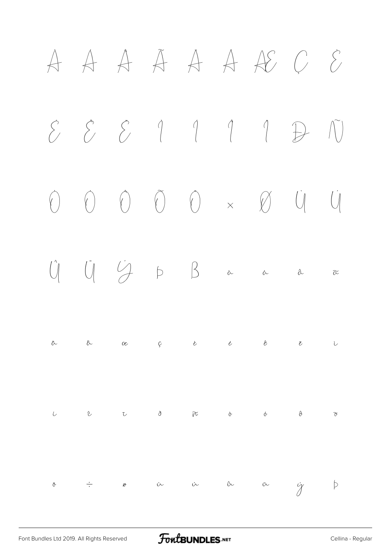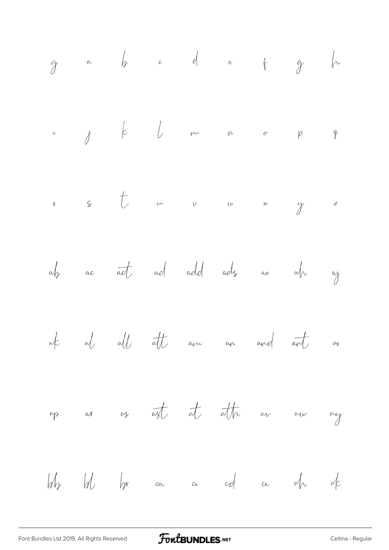ÿ